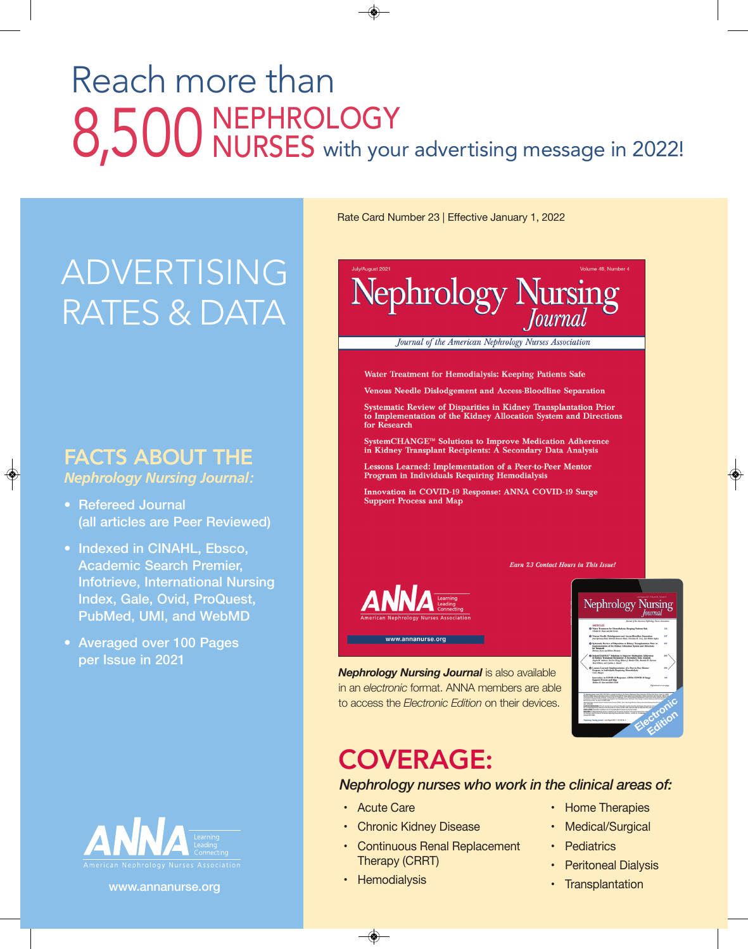## Reach more than 8,500 NEPHROLOGY<br>B<sub>1</sub>500 NURSES with your advertising message in 2022! NURSES

## ADVERTISING RATES & DATA

#### FACTS ABOUT THE *Nephrology Nursing Journal:*

◈

- **Refereed Journal (all articles are Peer Reviewed)**
- **Indexed in CINAHL, Ebsco, Academic Search Premier, Infotrieve, International Nursing Index, Gale, Ovid, ProQuest, PubMed, UMI, and WebMD**
- **Averaged over 100 Pages per Issue in 2021**



**www.annanurse.org**

Rate Card Number 23 | Effective January 1, 2022



*Nephrology Nursing Journal* is also available in an *electronic* format. ANNA members are able to access the *Electronic Edition* on their devices.

## COVERAGE:

#### *Nephrology nurses who work in the clinical areas of:*

- Acute Care
- Chronic Kidney Disease
- Continuous Renal Replacement Therapy (CRRT)
- Hemodialysis

◈

- Home Therapies
- Medical/Surgical
- Pediatrics
- Peritoneal Dialysis
- Transplantation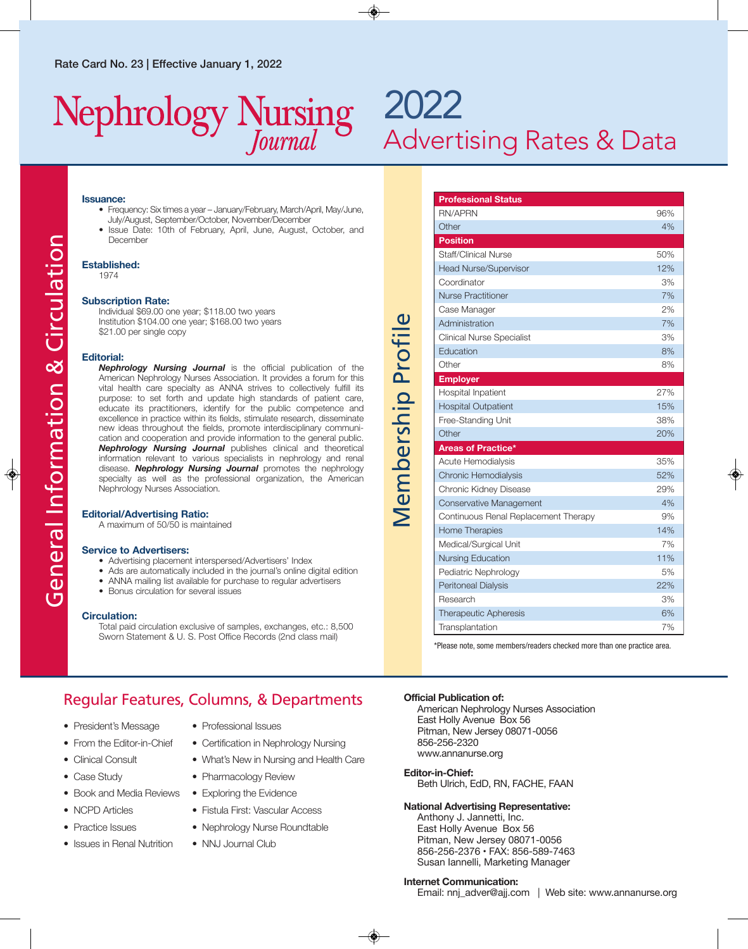## Nephrology Nursing

## 2022 Advertising Rates & Data

**Professional Status**

#### **Issuance:**

- Frequency: Six times a year January/February, March/April, May/June, July/August, September/October, November/December
- Issue Date: 10th of February, April, June, August, October, and December

#### **Established:**

1974

#### **Subscription Rate:**

Individual \$69.00 one year; \$118.00 two years Institution \$104.00 one year; \$168.00 two years \$21.00 per single copy

#### **Editorial:**

*Nephrology Nursing Journal* is the official publication of the American Nephrology Nurses Association. It provides a forum for this vital health care specialty as ANNA strives to collectively fulfill its purpose: to set forth and update high standards of patient care, educate its practitioners, identify for the public competence and excellence in practice within its fields, stimulate research, disseminate new ideas throughout the fields, promote interdisciplinary communi -cation and cooperation and provide information to the general public. *Nephrology Nursing Journal* publishes clinical and theoretical information relevant to various specialists in nephrology and renal disease. *Nephrology Nursing Journal* promotes the nephrology specialty as well as the professional organization, the American Nephrology Nurses Association.

#### **Editorial/Advertising Ratio:**

A maximum of 50/50 is maintained

#### **Service to Advertisers:**

- Advertising placement interspersed/Advertisers' Index
- Ads are automatically included in the journal's online digital edition
- ANNA mailing list available for purchase to regular advertisers
- Bonus circulation for several issues

#### **Circulation:**

Total paid circulation exclusive of samples, exchanges, etc.: 8,500 Sworn Statement & U. S. Post Office Records (2nd class mail)

# Membership Profile Membership Profile

| <b>RN/APRN</b>                       | 96% |
|--------------------------------------|-----|
| Other                                | 4%  |
| <b>Position</b>                      |     |
| Staff/Clinical Nurse                 | 50% |
| <b>Head Nurse/Supervisor</b>         | 12% |
| Coordinator                          | 3%  |
| <b>Nurse Practitioner</b>            | 7%  |
| Case Manager                         | 2%  |
| Administration                       | 7%  |
| Clinical Nurse Specialist            | 3%  |
| Education                            | 8%  |
| Other                                | 8%  |
| <b>Employer</b>                      |     |
| Hospital Inpatient                   | 27% |
| <b>Hospital Outpatient</b>           | 15% |
| Free-Standing Unit                   | 38% |
| Other                                | 20% |
| Areas of Practice*                   |     |
| Acute Hemodialysis                   | 35% |
| <b>Chronic Hemodialysis</b>          | 52% |
| Chronic Kidney Disease               | 29% |
| Conservative Management              | 4%  |
| Continuous Renal Replacement Therapy | 9%  |
| <b>Home Therapies</b>                | 14% |
| Medical/Surgical Unit                | 7%  |
| <b>Nursing Education</b>             | 11% |
| Pediatric Nephrology                 | 5%  |
| <b>Peritoneal Dialysis</b>           | 22% |
| Research                             | 3%  |
| <b>Therapeutic Apheresis</b>         | 6%  |
| Transplantation                      | 7%  |

\*Please note, some members/readers checked more than one practice area.

#### Regular Features, Columns, & Departments

- President's Message
- From the Editor-in-Chief
- Clinical Consult
- Case Study
- Book and Media Reviews Exploring the Evidence
- NCPD Articles
- Practice Issues
- Issues in Renal Nutrition
- Professional Issues
- Certification in Nephrology Nursing
- What's New in Nursing and Health Care
- Pharmacology Review
- 
- Fistula First: Vascular Access
	- Nephrology Nurse Roundtable
	- NNJ Journal Club

#### **Official Publication of:**

American Nephrology Nurses Association East Holly Avenue Box 56 Pitman, New Jersey 08071-0056 856-256-2320 www.annanurse.org

#### **Editor-in-Chief:**

Beth Ulrich, EdD, RN, FACHE, FAAN

#### **National Advertising Representative:**

Anthony J. Jannetti, Inc. East Holly Avenue Box 56 Pitman, New Jersey 08071-0056 856-256-2376 • FAX: 856-589-7463 Susan Iannelli, Marketing Manager

#### **Internet Communication:**

Email: nnj\_adver@ajj.com | Web site: www.annanurse.org

◈

♦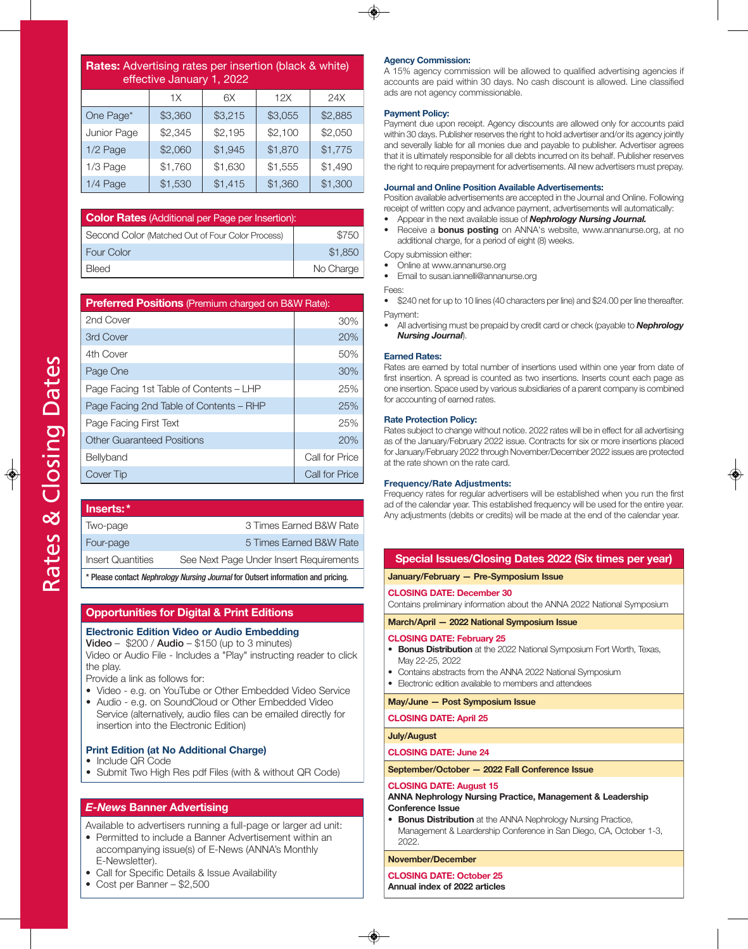$\frac{1}{2}$ 

| <b>Rates:</b> Advertising rates per insertion (black & white)<br>effective January 1, 2022 |         |         |         |         |  |
|--------------------------------------------------------------------------------------------|---------|---------|---------|---------|--|
|                                                                                            | 1X      | 6X      | 12X     | 24X     |  |
| One Page*                                                                                  | \$3,360 | \$3,215 | \$3,055 | \$2,885 |  |
| Junior Page                                                                                | \$2,345 | \$2,195 | \$2,100 | \$2,050 |  |
| 1/2 Page                                                                                   | \$2,060 | \$1,945 | \$1,870 | \$1,775 |  |
| 1/3 Page                                                                                   | \$1,760 | \$1,630 | \$1,555 | \$1,490 |  |
| 1/4 Page                                                                                   | \$1,530 | \$1,415 | \$1,360 | \$1,300 |  |

| <b>Color Rates</b> (Additional per Page per Insertion): |           |  |  |
|---------------------------------------------------------|-----------|--|--|
| Second Color (Matched Out of Four Color Process)        | \$750     |  |  |
| <b>Four Color</b>                                       | \$1,850   |  |  |
| <b>Bleed</b>                                            | No Charge |  |  |

| <b>Preferred Positions</b> (Premium charged on B&W Rate): |                |  |  |  |
|-----------------------------------------------------------|----------------|--|--|--|
| 2nd Cover                                                 | 30%            |  |  |  |
| 3rd Cover                                                 | 20%            |  |  |  |
| 4th Cover                                                 | 50%            |  |  |  |
| Page One                                                  | 30%            |  |  |  |
| Page Facing 1st Table of Contents – LHP                   | 25%            |  |  |  |
| Page Facing 2nd Table of Contents – RHP                   | 25%            |  |  |  |
| Page Facing First Text                                    | 25%            |  |  |  |
| <b>Other Guaranteed Positions</b>                         | 20%            |  |  |  |
| Bellyband                                                 | Call for Price |  |  |  |
| Cover Tip                                                 | Call for Price |  |  |  |

| lnserts:*                                                                        |                                         |  |
|----------------------------------------------------------------------------------|-----------------------------------------|--|
| Two-page                                                                         | 3 Times Earned B&W Rate                 |  |
| Four-page                                                                        | 5 Times Earned B&W Rate                 |  |
| <b>Insert Quantities</b>                                                         | See Next Page Under Insert Requirements |  |
| * Please contact Nephrology Nursing Journal for Outsert information and pricing. |                                         |  |

#### **Opportunities for Digital & Print Editions**

#### **Electronic Edition Video or Audio Embedding**

**Video** – \$200 / **Audio** – \$150 (up to 3 minutes)

Video or Audio File - Includes a "Play" instructing reader to click the play.

Provide a link as follows for:

- Video e.g. on YouTube or Other Embedded Video Service
- Audio e.g. on SoundCloud or Other Embedded Video Service (alternatively, audio files can be emailed directly for insertion into the Electronic Edition)

#### **Print Edition (at No Additional Charge)**

- Include QR Code
- Submit Two High Res pdf Files (with & without QR Code)

#### *E-News* **Banner Advertising**

Available to advertisers running a full-page or larger ad unit:

- Permitted to include a Banner Advertisement within an accompanying issue(s) of E-News (ANNA's Monthly E-Newsletter).
- Call for Specific Details & Issue Availability
- Cost per Banner \$2,500

#### **Agency Commission:**

A 15% agency commission will be allowed to qualified advertising agencies if accounts are paid within 30 days. No cash discount is allowed. Line classified ads are not agency commissionable.

#### **Payment Policy:**

Payment due upon receipt. Agency discounts are allowed only for accounts paid within 30 days. Publisher reserves the right to hold advertiser and/or its agency jointly and severally liable for all monies due and payable to publisher. Advertiser agrees that it is ultimately responsible for all debts incurred on its behalf. Publisher reserves the right to require prepayment for advertisements. All new advertisers must prepay.

#### **Journal and Online Position Available Advertisements:**

Position available advertisements are accepted in the Journal and Online. Following receipt of written copy and advance payment, advertisements will automatically:

- Appear in the next available issue of *Nephrology Nursing Journal.*
- Receive a **bonus posting** on ANNA's website, www.annanurse.org, at no additional charge, for a period of eight (8) weeks.
- Copy submission either:
- Online at www.annanurse.org
- Email to susan.iannelli@annanurse.org
- Fees:
- \$240 net for up to 10 lines (40 characters per line) and \$24.00 per line thereafter. Payment:
- All advertising must be prepaid by credit card or check (payable to *Nephrology Nursing Journal*).

#### **Earned Rates:**

Rates are earned by total number of insertions used within one year from date of first insertion. A spread is counted as two insertions. Inserts count each page as one insertion. Space used by various subsidiaries of a parent company is combined for accounting of earned rates.

#### **Rate Protection Policy:**

Rates subject to change without notice. 2022 rates will be in effect for all advertising as of the January/February 2022 issue. Contracts for six or more insertions placed for January/February 2022 through November/December 2022 issues are protected at the rate shown on the rate card.

#### **Frequency/Rate Adjustments:**

Frequency rates for regular advertisers will be established when you run the first ad of the calendar year. This established frequency will be used for the entire year. Any adjustments (debits or credits) will be made at the end of the calendar year.

#### **Special Issues/Closing Dates 2022 (Six times per year)**

**January/February — Pre-Symposium Issue** 

**ClOSINg DAtE: December 30** 

Contains preliminary information about the ANNA 2022 National Symposium

**March/April — 2022 National Symposium Issue**

#### **ClOSINg DAtE: February 25**

- **Bonus Distribution** at the 2022 National Symposium Fort Worth, Texas, May 22-25, 2022
- Contains abstracts from the ANNA 2022 National Symposium
- Electronic edition available to members and attendees

**May/June — Post Symposium Issue**

**ClOSINg DAtE: April 25**

#### **July/August**

**ClOSINg DAtE: June 24**

**September/October — 2022 Fall Conference Issue**

#### **ClOSINg DAtE: August 15**

#### **ANNA Nephrology Nursing Practice, Management & leadership Conference Issue**

**Bonus Distribution** at the ANNA Nephrology Nursing Practice, Management & Leardership Conference in San Diego, CA, October 1-3, 2022.

**November/December**

**ClOSINg DAtE: October 25** 

**Annual index of 2022 articles**